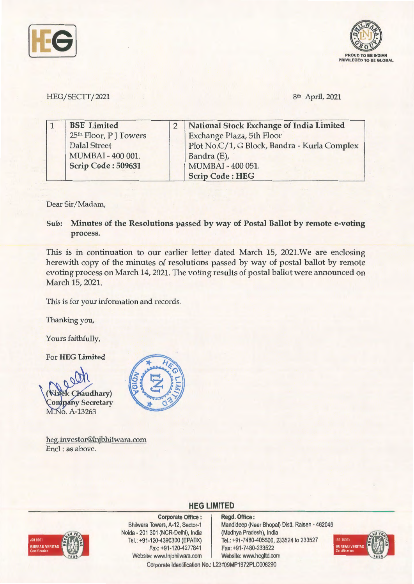



### HEG/SECTT/2021 8th April, 2021

| <b>BSE</b> Limited     | National Stock Exchange of India Limited     |
|------------------------|----------------------------------------------|
| 25th Floor, P J Towers | Exchange Plaza, 5th Floor                    |
| <b>Dalal Street</b>    | Plot No.C/1, G Block, Bandra - Kurla Complex |
| MUMBAI - 400 001.      | Bandra (E),                                  |
| Scrip Code: 509631     | MUMBAI - 400 051.                            |
|                        | <b>Scrip Code: HEG</b>                       |

#### Dear Sir/ Madam,

**Sub: Minutes of the Resolutions passed by way of Postal Ballot by remote e-voting process.** 

This is in continuation to our earlier letter dated March 15, 2021.We are enclosing herewith copy of the minutes of resolutions passed by way of postal ballot by remote evoting process on March 14, 2021. The voting results of postal ballot were announced on March 15, 2021.

This is for your information and records.

Thanking you,

Yours faithfully,

For **HEG Limited** 



heg.investor@lnjbhilwara.com Encl : as above.



## **HEG LIMITED**



**Corporate Office** : Bhilwara Towers, A-12, Sector-1 Neida - 201 301 (NCR-Delhi), India Tel.: +91-120-4390300 (EPABX) Fax:+91 -120-4277841 Website: www.lnjbhilwara.com | Website: www.hegltd.com

**Regd. Office** : Mandideep (Near Bhopal) Distt. Raisen - 462046 (Madhya Pradesh), India Tel.: +91-7480-405500, 233524 to 233527 Fax: +91 -7480-233522



Corporate Identification No.: L23109MP1972PLC008290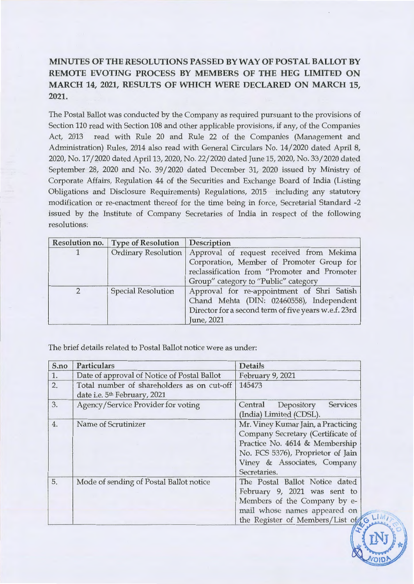# **MINUTES OF THE RESOLUTIONS PASSED BY WAY OF POSTAL BALLOT BY REMOTE EVOTING PROCESS BY MEMBERS OF THE HEG LIMITED ON MARCH 14, 2021, RESULTS OF WHICH WERE DECLARED ON MARCH 15, 2021.**

The Postal Ballot was conducted by the Company as required pursuant to the provisions of Section 110 read with Section 108 and other applicable provisions, if any, of the Companies Act, 2013 read with Rule 20 and Rule 22 of the Companies (Management and Administration) Rules, 2014 also read with General Circulars No. 14/ 2020 dated April 8, 2020, No. 17/2020 dated April 13, 2020, No. 22/2020 dated June 15, 2020, No. 33/2020 dated September 28, 2020 and No. 39/ 2020 dated December 31, 2020 issued by Ministry of Corporate Affairs, Regulation 44 of the Securities and Exchange Board of India (Listing Obligations and Disclosure Requirements) Regulations, 2015 including any statutory modification or re-enactment thereof for the time being in force, Secretarial Standard -2 issued by the Institute of Company Secretaries of India in respect of the following resolutions:

|               | <b>Resolution no.</b> Type of Resolution | Description                                          |  |  |  |  |
|---------------|------------------------------------------|------------------------------------------------------|--|--|--|--|
|               | <b>Ordinary Resolution</b>               | Approval of request received from Mekima             |  |  |  |  |
|               |                                          | Corporation, Member of Promoter Group for            |  |  |  |  |
|               |                                          | reclassification from "Promoter and Promoter         |  |  |  |  |
|               |                                          | Group" category to "Public" category                 |  |  |  |  |
| $\mathcal{D}$ | <b>Special Resolution</b>                | Approval for re-appointment of Shri Satish           |  |  |  |  |
|               |                                          | Chand Mehta (DIN: 02460558), Independent             |  |  |  |  |
|               |                                          | Director for a second term of five years w.e.f. 23rd |  |  |  |  |
|               |                                          | June, 2021                                           |  |  |  |  |

The brief details related to Postal Ballot notice were as under:

| S.no | <b>Particulars</b>                                                                     | <b>Details</b>                                                                                                                                                                                |  |  |  |
|------|----------------------------------------------------------------------------------------|-----------------------------------------------------------------------------------------------------------------------------------------------------------------------------------------------|--|--|--|
| 1.   | Date of approval of Notice of Postal Ballot                                            | February 9, 2021                                                                                                                                                                              |  |  |  |
| 2.   | Total number of shareholders as on cut-off<br>date i.e. 5 <sup>th</sup> February, 2021 | 145473                                                                                                                                                                                        |  |  |  |
| 3.   | Agency/Service Provider for voting                                                     | <b>Services</b><br>Depository<br>Central<br>(India) Limited (CDSL).                                                                                                                           |  |  |  |
| 4.   | Name of Scrutinizer                                                                    | Mr. Viney Kumar Jain, a Practicing<br>Company Secretary (Certificate of<br>Practice No. 4614 & Membership<br>No. FCS 5376), Proprietor of Jain<br>Viney & Associates, Company<br>Secretaries. |  |  |  |
| 5.   | Mode of sending of Postal Ballot notice                                                | The Postal Ballot Notice dated<br>February 9, 2021 was sent to<br>Members of the Company by e-<br>mail whose names appeared on<br>the Register of Members/List of                             |  |  |  |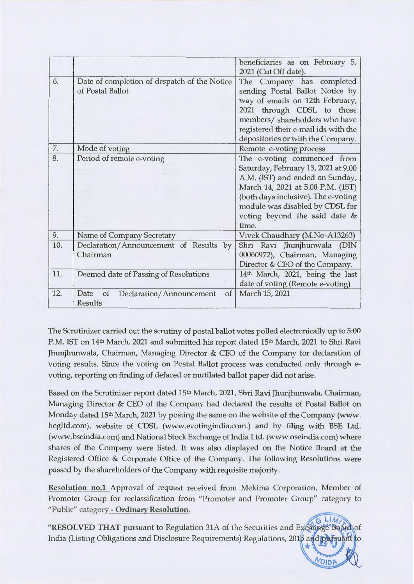|     |                                                                  | beneficiaries as on February 5,<br>2021 (Cut Off date).                                                                                                                                                                                                        |
|-----|------------------------------------------------------------------|----------------------------------------------------------------------------------------------------------------------------------------------------------------------------------------------------------------------------------------------------------------|
| 6.  | Date of completion of despatch of the Notice<br>of Postal Ballot | The Company has completed<br>sending Postal Ballot Notice by<br>way of emails on 12th February,<br>2021 through CDSL to those<br>members/ shareholders who have<br>registered their e-mail ids with the<br>depositories or with the Company.                   |
| 7.  | Mode of voting                                                   | Remote e-voting process                                                                                                                                                                                                                                        |
| 8.  | Period of remote e-voting                                        | The e-voting commenced from<br>Saturday, February 13, 2021 at 9.00<br>A.M. (IST) and ended on Sunday,<br>March 14, 2021 at 5.00 P.M. (1ST)<br>(both days inclusive). The e-voting<br>module was disabled by CDSL for<br>voting beyond the said date &<br>time. |
| 9.  | Name of Company Secretary                                        | Vivek Chaudhary (M.No-A13263)                                                                                                                                                                                                                                  |
| 10. | Declaration/Announcement of Results by<br>Chairman               | Shri Ravi Jhunjhunwala (DIN<br>00060972), Chairman, Managing<br>Director & CEO of the Company.                                                                                                                                                                 |
| 11. | Deemed date of Passing of Resolutions                            | 14th March, 2021, being the last<br>date of voting (Remote e-voting)                                                                                                                                                                                           |
| 12. | Date<br>Declaration/Announcement<br>of<br>of<br><b>Results</b>   | March 15, 2021                                                                                                                                                                                                                                                 |

The Scrutinizer carried out the scrutiny of postal ballot votes polled electronically up to 5:00 P.M. IST on 14<sup>th</sup> March, 2021 and submitted his report dated 15<sup>th</sup> March, 2021 to Shri Ravi Jhunjhunwala, Chairman, Managing Director & CEO of the Company for declaration of voting results. Since the voting on Postal Ballot process was conducted only through evoting, reporting on finding of defaced or mutilated ballot paper did not arise.

Based on the Scrutinizer report dated 15th March, 2021, Shri Ravi Jhunjhunwala, Chairman, Managing Director & CEO of the Company had declared the results of Postal Ballot on Monday dated 15<sup>th</sup> March, 2021 by posting the same on the website of the Company (www. hegltd.com), website of CDSL (www.evotingindia.com.) and by filing with BSE Ltd. (www.bseindia.com) and National Stock Exchange of India Ltd. (www.nseindia.com) where shares of the Company were listed. It was also displayed on the Notice Board at the Registered Office & Corporate Office of the Company. The following Resolutions were passed by the shareholders of the Company with requisite majority.

**Resolution no.1** Approval of request received from Mekima Corporation, Member of Promoter Group for reclassification from "Promoter and Promoter Group" category to "Public" category - **Ordinary Resolution.** 

 $G$  LIM) "RESOLVED THAT pursuant to Regulation 31A of the Securities and Exchange Board of India (Listing Obligations and Disclosure Requirements) Regulations, 2015 and pursuant to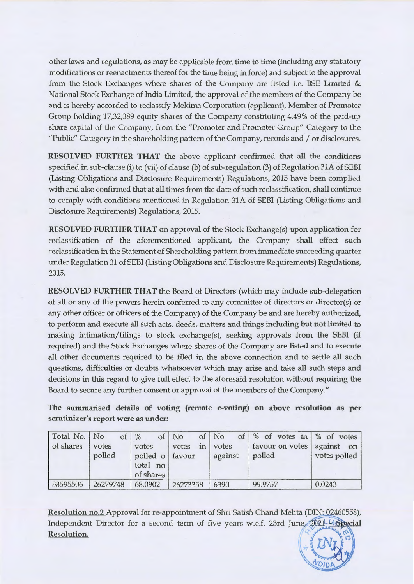other laws and regulations, as may be applicable from time to time (including any statutory modifications or reenactments thereof for the time being in force) and subject to the approval from the Stock Exchanges where shares of the Company are listed i.e. BSE Limited & National Stock Exchange of India Limited, the approval of the members of the Company be and is hereby accorded to reclassify Mekima Corporation (applicant), Member of Promoter Group holding 17,32,389 equity shares of the Company constituting 4.49% of the paid-up share capital of the Company, from the "Promoter and Promoter Group" Category to the "Public" Category in the shareholding pattern of the Company, records and / or disclosures.

**RESOLVED FURTHER THAT** the above applicant confirmed that all the conditions specified in sub-clause (i) to (vii) of clause (b) of sub-regulation (3) of Regulation 31A of SEBI (Listing Obligations and Disclosure Requirements) Regulations, 2015 have been complied with and also confirmed that at all times from the date of such reclassification, shall continue to comply with conditions mentioned in Regulation 31A of SEBI (Listing Obligations and Disclosure Requirements) Regulations, 2015.

**RESOLVED FURTHER THAT** on approval of the Stock Exchange(s) upon application for reclassification of the aforementioned applicant, the Company shall effect such reclassification in the Statement of Shareholding pattern from immediate succeeding quarter under Regulation 31 of SEBI (Listing Obligations and Disclosure Requirements) Regulations, 2015.

**RESOLVED FURTHER THAT** the Board of Directors (which may include sub-delegation of all or any of the powers herein conferred to any committee of directors or director(s) or any other officer or officers of the Company) of the Company be and are hereby authorized, to perform and execute all such acts, deeds, matters and things including but not limited to making intimation/ filings to stock exchange(s), seeking approvals from the SEBI (if required) and the Stock Exchanges where shares of the Company are listed and to execute all other documents required to be filed in the above connection and to settle all such questions, difficulties or doubts whatsoever which may arise and take all such steps and decisions in this regard to give full effect to the aforesaid resolution without requiring the Board to secure any further consent or approval of the members of the Company."

**The summarised details of voting (remote e-voting) on above resolution as per scrutinizer's report were as under:** 

| Total No. No | of       | $\%$            | of   No  | of   No  | of % of votes in % of votes  |              |
|--------------|----------|-----------------|----------|----------|------------------------------|--------------|
| of shares    | votes    | votes           | votes    | in votes | favour on votes   against on |              |
| polled       |          | polled o favour |          | against  | polled                       | votes polled |
|              |          | total no        |          |          |                              |              |
|              |          | of shares       |          |          |                              |              |
| 38595506     | 26279748 | 68.0902         | 26273358 | 6390     | 99.9757                      | 0.0243       |

Resolution no.2 Approval for re-appointment of Shri Satish Chand Mehta (DIN: 02460558), Independent Director for a second term of five years w.e.f. 23rd June, 2021-46 Special **Resolution.**